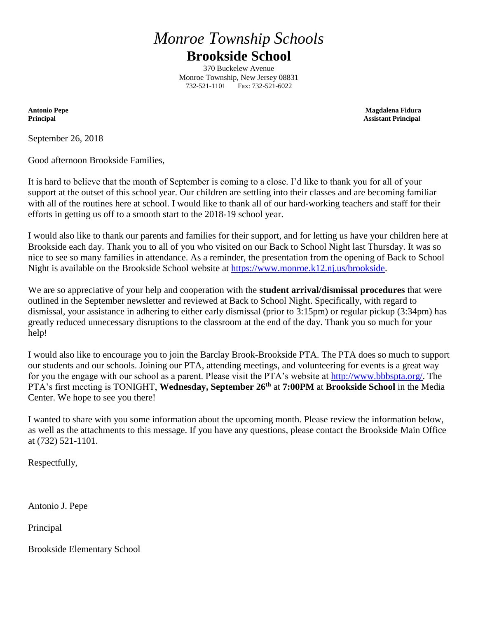# *Monroe Township Schools* **Brookside School**

370 Buckelew Avenue Monroe Township, New Jersey 08831 732-521-1101 Fax: 732-521-6022

**Antonio Pepe Magdalena Fidura Principal Assistant Principal**

September 26, 2018

Good afternoon Brookside Families,

It is hard to believe that the month of September is coming to a close. I'd like to thank you for all of your support at the outset of this school year. Our children are settling into their classes and are becoming familiar with all of the routines here at school. I would like to thank all of our hard-working teachers and staff for their efforts in getting us off to a smooth start to the 2018-19 school year.

I would also like to thank our parents and families for their support, and for letting us have your children here at Brookside each day. Thank you to all of you who visited on our Back to School Night last Thursday. It was so nice to see so many families in attendance. As a reminder, the presentation from the opening of Back to School Night is available on the Brookside School website at [https://www.monroe.k12.nj.us/brookside.](https://www.monroe.k12.nj.us/brookside)

We are so appreciative of your help and cooperation with the **student arrival/dismissal procedures** that were outlined in the September newsletter and reviewed at Back to School Night. Specifically, with regard to dismissal, your assistance in adhering to either early dismissal (prior to 3:15pm) or regular pickup (3:34pm) has greatly reduced unnecessary disruptions to the classroom at the end of the day. Thank you so much for your help!

I would also like to encourage you to join the Barclay Brook-Brookside PTA. The PTA does so much to support our students and our schools. Joining our PTA, attending meetings, and volunteering for events is a great way for you the engage with our school as a parent. Please visit the PTA's website at [http://www.bbbspta.org/.](http://www.bbbspta.org/) The PTA's first meeting is TONIGHT, **Wednesday, September 26th** at **7:00PM** at **Brookside School** in the Media Center. We hope to see you there!

I wanted to share with you some information about the upcoming month. Please review the information below, as well as the attachments to this message. If you have any questions, please contact the Brookside Main Office at (732) 521-1101.

Respectfully,

Antonio J. Pepe

Principal

Brookside Elementary School